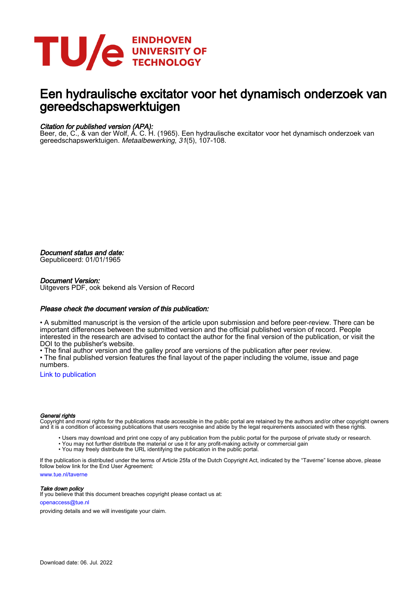

# Een hydraulische excitator voor het dynamisch onderzoek van gereedschapswerktuigen

## Citation for published version (APA):

Beer, de, C., & van der Wolf, A. C. H. (1965). Een hydraulische excitator voor het dynamisch onderzoek van gereedschapswerktuigen. Metaalbewerking, 31(5), 107-108.

Document status and date:

Gepubliceerd: 01/01/1965

#### Document Version:

Uitgevers PDF, ook bekend als Version of Record

### Please check the document version of this publication:

• A submitted manuscript is the version of the article upon submission and before peer-review. There can be important differences between the submitted version and the official published version of record. People interested in the research are advised to contact the author for the final version of the publication, or visit the DOI to the publisher's website.

• The final author version and the galley proof are versions of the publication after peer review.

• The final published version features the final layout of the paper including the volume, issue and page numbers.

[Link to publication](https://research.tue.nl/nl/publications/2959c96a-eaf7-4996-bdf5-2687f206d044)

#### General rights

Copyright and moral rights for the publications made accessible in the public portal are retained by the authors and/or other copyright owners and it is a condition of accessing publications that users recognise and abide by the legal requirements associated with these rights.

- Users may download and print one copy of any publication from the public portal for the purpose of private study or research.
- You may not further distribute the material or use it for any profit-making activity or commercial gain
- You may freely distribute the URL identifying the publication in the public portal.

If the publication is distributed under the terms of Article 25fa of the Dutch Copyright Act, indicated by the "Taverne" license above, please follow below link for the End User Agreement:

www.tue.nl/taverne

**Take down policy**<br>If you believe that this document breaches copyright please contact us at:

openaccess@tue.nl

providing details and we will investigate your claim.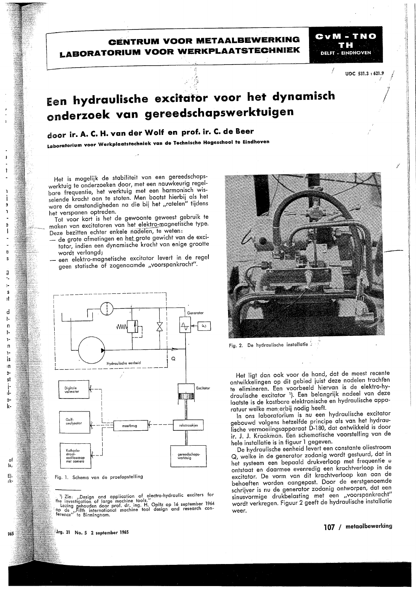# **CENTRUM VOOR METAALBEWERKING LABORATORIUM VOOR WERKPLAATSTECHNIEK**

UDC 531.3:621.9

**CVM - TNO** 

T H

**DELET - FINDHOVEN** 

# Een hydraulische excitator voor het dynamisch onderzoek van gereedschapswerktuigen

# door ir. A. C. H. van der Wolf en prof. ir. C. de Beer

Laboratorium voor Werkplaatstechniek van de Technische Hogeschool te Eindhoven

Het is mogelijk de stabiliteit van een gereedschapswerktuig te onderzoeken door, met een nauwkeurig regelbare frequentie, het werktuig met een harmonisch wisselende kracht aan te stoten. Men bootst hierbij als het ware de omstandigheden na die bij het "ratelen" tijdens het verspanen optreden.

Tot voor kort is het de gewoonte geweest gebruik te maken van excitatoren van het elektro-magnetische type. Deze bezitten echter enkele nadelen, te weten:

- de grote afmetingen en het grote gewicht van de excitator, indien een dynamische kracht van enige grootte wordt verlangd;
- een elektro-magnetische excitator levert in de reael geen statische of zogenaamde "voorspankracht".



Fig. 1. Schema van de proefopstelling



Fig. 2. De hydraulische installatie 3

Het ligt dan ook voor de hand, dat de meest recente ontwikkelingen op dit gebied juist deze nadelen trachten te elimineren. Een voorbeeld hiervan is de elektro-hydraulische excitator 1). Een belangrijk nadeel van deze laatste is de kostbare elektronische en hydraulische apparatuur welke men erbij nodig heeft.

In ons laboratorium is nu een hydraulische excitator gebouwd volgens hetzelfde principe als van het hydraulische vermoeiingsapparaat D-180, dat ontwikkeld is door ir. J. J. Kraakman. Een schematische voorstelling van de hele installatie is in figuur 1 gegeven.

De hydraulische eenheid levert een constante oliestroom Q, welke in de generator zodanig wordt gestuurd, dat in het systeem een bepaald drukverloop met frequentie w ontstaat en daarmee evenredig een krachtverloop in de excitator. De vorm van dit krachtverloop kan aan de behoeften worden aangepast. Door de eerstgenoemde schrijver is nu de generator zodanig ontworpen, dat een sinusvormige drukbelasting met een "voorspankracht" wordt verkregen. Figuur 2 geeft de hydraulische installatie weer.

 $\therefore$  ') Zie: "Design and application of electro-hydraulic exciters for the investigation of large machine tools."<br>
Lezing gehouden door prof. dr. ing. H. Opitz op 16 september 1964<br>
op de "Fifth international machine too